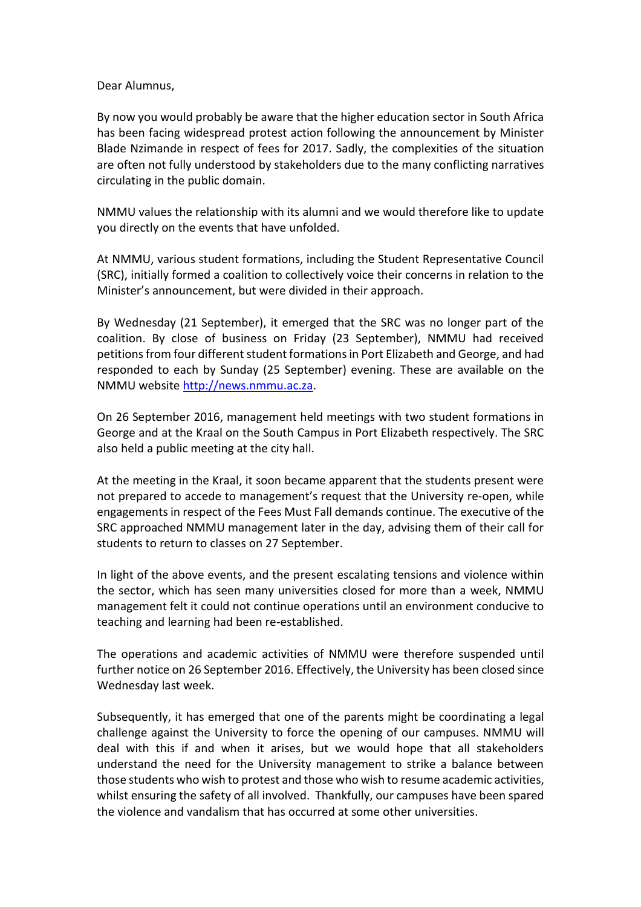## Dear Alumnus,

By now you would probably be aware that the higher education sector in South Africa has been facing widespread protest action following the announcement by Minister Blade Nzimande in respect of fees for 2017. Sadly, the complexities of the situation are often not fully understood by stakeholders due to the many conflicting narratives circulating in the public domain.

NMMU values the relationship with its alumni and we would therefore like to update you directly on the events that have unfolded.

At NMMU, various student formations, including the Student Representative Council (SRC), initially formed a coalition to collectively voice their concerns in relation to the Minister's announcement, but were divided in their approach.

By Wednesday (21 September), it emerged that the SRC was no longer part of the coalition. By close of business on Friday (23 September), NMMU had received petitions from four different student formations in Port Elizabeth and George, and had responded to each by Sunday (25 September) evening. These are available on the NMMU websit[e http://news.nmmu.ac.za.](http://news.nmmu.ac.za/)

On 26 September 2016, management held meetings with two student formations in George and at the Kraal on the South Campus in Port Elizabeth respectively. The SRC also held a public meeting at the city hall.

At the meeting in the Kraal, it soon became apparent that the students present were not prepared to accede to management's request that the University re-open, while engagements in respect of the Fees Must Fall demands continue. The executive of the SRC approached NMMU management later in the day, advising them of their call for students to return to classes on 27 September.

In light of the above events, and the present escalating tensions and violence within the sector, which has seen many universities closed for more than a week, NMMU management felt it could not continue operations until an environment conducive to teaching and learning had been re-established.

The operations and academic activities of NMMU were therefore suspended until further notice on 26 September 2016. Effectively, the University has been closed since Wednesday last week.

Subsequently, it has emerged that one of the parents might be coordinating a legal challenge against the University to force the opening of our campuses. NMMU will deal with this if and when it arises, but we would hope that all stakeholders understand the need for the University management to strike a balance between those students who wish to protest and those who wish to resume academic activities, whilst ensuring the safety of all involved. Thankfully, our campuses have been spared the violence and vandalism that has occurred at some other universities.